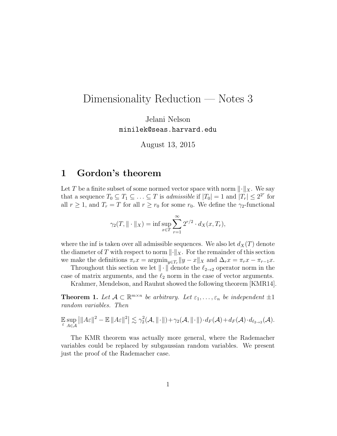# Dimensionality Reduction — Notes 3

Jelani Nelson minilek@seas.harvard.edu

August 13, 2015

## 1 Gordon's theorem

Let T be a finite subset of some normed vector space with norm  $\|\cdot\|_X$ . We say that a sequence  $T_0 \subseteq T_1 \subseteq \ldots \subseteq T$  is *admissible* if  $|T_0| = 1$  and  $|T_r| \leq 2^{2^r}$  for all  $r \geq 1$ , and  $T_r = T$  for all  $r \geq r_0$  for some  $r_0$ . We define the  $\gamma_2$ -functional

$$
\gamma_2(T, \|\cdot\|_X) = \inf \sup_{x \in T} \sum_{r=1}^{\infty} 2^{r/2} \cdot d_X(x, T_r),
$$

where the inf is taken over all admissible sequences. We also let  $d_X(T)$  denote the diameter of T with respect to norm  $\|\cdot\|_X$ . For the remainder of this section we make the definitions  $\pi_r x = \operatorname{argmin}_{y \in T_r} ||y - x||_X$  and  $\Delta_r x = \pi_r x - \pi_{r-1} x$ .

Throughout this section we let  $\|\cdot\|$  denote the  $\ell_{2\to 2}$  operator norm in the case of matrix arguments, and the  $\ell_2$  norm in the case of vector arguments.

Krahmer, Mendelson, and Rauhut showed the following theorem [KMR14].

**Theorem 1.** Let  $A \subset \mathbb{R}^{m \times n}$  be arbitrary. Let  $\varepsilon_1, \ldots, \varepsilon_n$  be independent  $\pm 1$ random variables. Then

$$
\mathbb{E}\sup_{\varepsilon} \left|\|A\varepsilon\|^2 - \mathbb{E}\|A\varepsilon\|^2\right| \lesssim \gamma_2^2(\mathcal{A}, \|\cdot\|) + \gamma_2(\mathcal{A}, \|\cdot\|) \cdot d_F(\mathcal{A}) + d_F(\mathcal{A}) \cdot d_{\ell_{2\to 2}}(\mathcal{A}).
$$

The KMR theorem was actually more general, where the Rademacher variables could be replaced by subgaussian random variables. We present just the proof of the Rademacher case.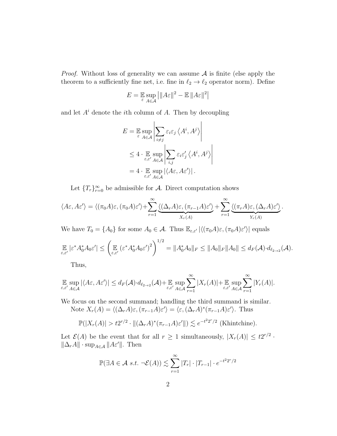*Proof.* Without loss of generality we can assume  $A$  is finite (else apply the theorem to a sufficiently fine net, i.e. fine in  $\ell_2 \to \ell_2$  operator norm). Define

$$
E = \mathop{\mathbb{E}}_{\varepsilon} \sup_{A \in \mathcal{A}} \left| \|A\varepsilon\|^2 - \mathop{\mathbb{E}}_{\varepsilon} \|A\varepsilon\|^2 \right|
$$

and let  $A^i$  denote the *i*th column of  $A$ . Then by decoupling

$$
E = \mathbb{E} \sup_{\varepsilon} \left| \sum_{i \neq j} \varepsilon_i \varepsilon_j \left\langle A^i, A^j \right\rangle \right|
$$
  
 
$$
\leq 4 \cdot \mathbb{E} \sup_{\varepsilon, \varepsilon' \in A} \left| \sum_{i,j} \varepsilon_i \varepsilon'_j \left\langle A^i, A^j \right\rangle \right|
$$
  
=  $4 \cdot \mathbb{E} \sup_{\varepsilon, \varepsilon' \in A \in A} |\langle A\varepsilon, A\varepsilon' \rangle|.$ 

Let  ${T_r}_{r=0}^{\infty}$  be admissible for A. Direct computation shows

$$
\langle A\varepsilon, A\varepsilon'\rangle = \langle (\pi_0 A)\varepsilon, (\pi_0 A)\varepsilon'\rangle + \sum_{r=1}^{\infty} \underbrace{\langle (\Delta_r A)\varepsilon, (\pi_{r-1} A)\varepsilon'\rangle}_{X_r(A)} + \sum_{r=1}^{\infty} \underbrace{\langle (\pi_r A)\varepsilon, (\Delta_r A)\varepsilon'\rangle}_{Y_r(A)}.
$$

We have  $T_0 = \{A_0\}$  for some  $A_0 \in \mathcal{A}$ . Thus  $\mathbb{E}_{\varepsilon, \varepsilon'} |\langle (\pi_0 A)\varepsilon, (\pi_0 A)\varepsilon' \rangle|$  equals

$$
\mathop{\mathbb{E}}_{\varepsilon,\varepsilon'}|\varepsilon^*A_0^*A_0\varepsilon'| \le \left(\mathop{\mathbb{E}}_{\varepsilon,\varepsilon'}(\varepsilon^*A_0^*A_0\varepsilon')^2\right)^{1/2} = \|A_0^*A_0\|_F \le \|A_0\|_F \|A_0\| \le d_F(\mathcal{A}) \cdot d_{\ell_{2\to 2}}(\mathcal{A}).
$$

Thus,

$$
\mathbb{E} \sup_{\varepsilon,\varepsilon'} |\langle A\varepsilon, A\varepsilon'\rangle| \leq d_F(\mathcal{A}) \cdot d_{\ell_{2\to 2}}(\mathcal{A}) + \mathbb{E} \sup_{\varepsilon,\varepsilon'} \sum_{A\in\mathcal{A}}^{\infty} |X_r(A)| + \mathbb{E} \sup_{\varepsilon,\varepsilon'} \sum_{A\in\mathcal{A}}^{\infty} |Y_r(A)|.
$$

We focus on the second summand; handling the third summand is similar. Note  $X_r(A) = \langle (\Delta_r A)\varepsilon, (\pi_{r-1}A)\varepsilon' \rangle = \langle \varepsilon, (\Delta_r A)^*(\pi_{r-1}A)\varepsilon' \rangle$ . Thus

$$
\mathbb{P}(|X_r(A)| > t2^{r/2} \cdot \|(\Delta_r A)^*(\pi_{r-1} A)\varepsilon'\|) \lesssim e^{-t^2 2^r/2}
$$
 (Khintchine).

Let  $\mathcal{E}(A)$  be the event that for all  $r \geq 1$  simultaneously,  $|X_r(A)| \leq t2^{r/2}$ .  $\|\Delta_r A\| \cdot \sup_{A \in \mathcal{A}} \|A\varepsilon'\|$ . Then

$$
\mathbb{P}(\exists A \in \mathcal{A} \ s.t. \ \neg \mathcal{E}(A)) \lesssim \sum_{r=1}^{\infty} |T_r| \cdot |T_{r-1}| \cdot e^{-t^2 2^r/2}
$$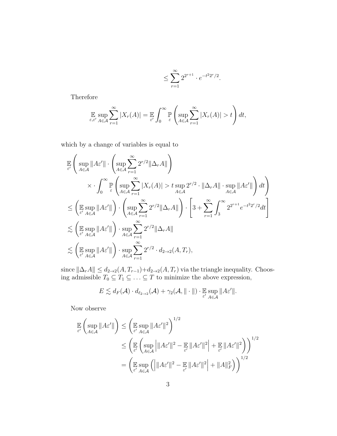$$
\leq \sum_{r=1}^{\infty} 2^{2^{r+1}} \cdot e^{-t^2 2^r/2}.
$$

Therefore

$$
\mathop{\mathbb{E}}_{\varepsilon,\varepsilon'}\sup_{A\in\mathcal{A}}\sum_{r=1}^{\infty}|X_r(A)|=\mathop{\mathbb{E}}_{\varepsilon'}\int_0^{\infty}\mathop{\mathbb{P}}_{\varepsilon}\left(\sup_{A\in\mathcal{A}}\sum_{r=1}^{\infty}|X_r(A)|>t\right)dt,
$$

which by a change of variables is equal to

$$
\mathbb{E}\left(\sup_{\epsilon}||A\epsilon'|| \cdot \left(\sup_{A\in\mathcal{A}}\sum_{r=1}^{\infty} 2^{r/2} ||\Delta_r A||\right)\right)
$$
\n
$$
\times \cdot \int_{0}^{\infty} \mathbb{P}\left(\sup_{A\in\mathcal{A}}\sum_{r=1}^{\infty} |X_r(A)| > t \sup_{A\in\mathcal{A}} 2^{r/2} \cdot ||\Delta_r A|| \cdot \sup_{A\in\mathcal{A}} ||A\epsilon'||\right) dt\right)
$$
\n
$$
\leq \left(\mathbb{E}\sup_{\epsilon'}||A\epsilon'||\right) \cdot \left(\sup_{A\in\mathcal{A}}\sum_{r=1}^{\infty} 2^{r/2} ||\Delta_r A||\right) \cdot \left[3 + \sum_{r=1}^{\infty} \int_{3}^{\infty} 2^{2^{r+1}} e^{-t^2 2^r/2} dt\right]
$$
\n
$$
\lesssim \left(\mathbb{E}\sup_{\epsilon'}||A\epsilon'||\right) \cdot \sup_{A\in\mathcal{A}}\sum_{r=1}^{\infty} 2^{r/2} ||\Delta_r A||
$$
\n
$$
\lesssim \left(\mathbb{E}\sup_{\epsilon' A\in\mathcal{A}} ||A\epsilon'||\right) \cdot \sup_{A\in\mathcal{A}}\sum_{r=1}^{\infty} 2^{r/2} \cdot d_{2\to 2}(A, T_r),
$$

since  $\|\Delta_r A\| \leq d_{2\to 2}(A, T_{r-1})+d_{2\to 2}(A, T_r)$  via the triangle inequality. Choosing admissible  $T_0 \subseteq T_1 \subseteq \ldots \subseteq T$  to minimize the above expression,

$$
E \lesssim d_F(\mathcal{A}) \cdot d_{\ell_{2\to 2}}(\mathcal{A}) + \gamma_2(\mathcal{A}, \|\cdot\|) \cdot \mathbb{E} \sup_{\varepsilon' \ A \in \mathcal{A}} \|A\varepsilon'\|.
$$

Now observe

$$
\mathbb{E}_{\varepsilon'}\left(\sup_{A\in\mathcal{A}}\|A\varepsilon'\|\right) \leq \left(\mathbb{E}_{\varepsilon'}\sup_{A\in\mathcal{A}}\|A\varepsilon'\|^2\right)^{1/2} \n\leq \left(\mathbb{E}_{\varepsilon'}\left(\sup_{A\in\mathcal{A}}\left|\|A\varepsilon'\|^2 - \mathbb{E}_{\varepsilon'}\|A\varepsilon'\|^2\right| + \mathbb{E}_{\varepsilon'}\|A\varepsilon'\|^2\right)\right)^{1/2} \n= \left(\mathbb{E}_{\varepsilon'}\sup_{A\in\mathcal{A}}\left(\left|\|A\varepsilon'\|^2 - \mathbb{E}_{\varepsilon'}\|A\varepsilon'\|^2\right| + \|A\|_{F}^2\right)\right)^{1/2}
$$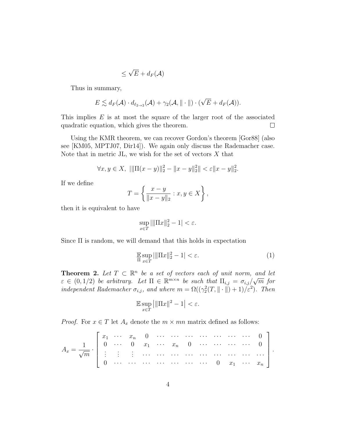$$
\leq \sqrt{E} + d_F(\mathcal{A})
$$

Thus in summary,

$$
E \lesssim d_F(\mathcal{A}) \cdot d_{\ell_{2\to 2}}(\mathcal{A}) + \gamma_2(\mathcal{A}, \|\cdot\|) \cdot (\sqrt{E} + d_F(\mathcal{A})).
$$

This implies  $E$  is at most the square of the larger root of the associated quadratic equation, which gives the theorem.  $\Box$ 

Using the KMR theorem, we can recover Gordon's theorem [Gor88] (also see [KM05, MPTJ07, Dir14]). We again only discuss the Rademacher case. Note that in metric JL, we wish for the set of vectors  $X$  that

$$
\forall x, y \in X, \ ||\|\Pi(x-y)\|_2^2 - \|x-y\|_2^2 \||<\varepsilon \|x-y\|_2^2.
$$

If we define

$$
T = \left\{ \frac{x - y}{\|x - y\|_2} : x, y \in X \right\},\
$$

then it is equivalent to have

$$
\sup_{x \in T} \left| \|\Pi x\|_2^2 - 1 \right| < \varepsilon.
$$

Since Π is random, we will demand that this holds in expectation

$$
\mathbb{E}_{\Pi} \sup_{x \in T} |||\Pi x||_2^2 - 1| < \varepsilon. \tag{1}
$$

**Theorem 2.** Let  $T \subset \mathbb{R}^n$  be a set of vectors each of unit norm, and let  $\varepsilon \in (0, 1/2)$  be arbitrary. Let  $\Pi \in \mathbb{R}^{m \times n}$  be such that  $\Pi_{i,j} = \sigma_{i,j}$ √  $\overline{m}$  for independent Rademacher  $\sigma_{i,j}$ , and where  $m = \Omega((\gamma_2^2(T, \|\cdot\|) + 1)/\varepsilon^2)$ . Then

$$
\mathbb{E}\sup_{x\in T} \left|\|\Pi x\|^2 - 1\right| < \varepsilon.
$$

*Proof.* For  $x \in T$  let  $A_x$  denote the  $m \times mn$  matrix defined as follows:

$$
A_x = \frac{1}{\sqrt{m}} \cdot \begin{bmatrix} x_1 & \cdots & x_n & 0 & \cdots & \cdots & \cdots & \cdots & \cdots & 0 \\ 0 & \cdots & 0 & x_1 & \cdots & x_n & 0 & \cdots & \cdots & \cdots & 0 \\ \vdots & \vdots & \vdots & \cdots & \cdots & \cdots & \cdots & \cdots & \cdots & \cdots & \cdots & \cdots \\ 0 & \cdots & \cdots & \cdots & \cdots & \cdots & \cdots & 0 & x_1 & \cdots & x_n \end{bmatrix}.
$$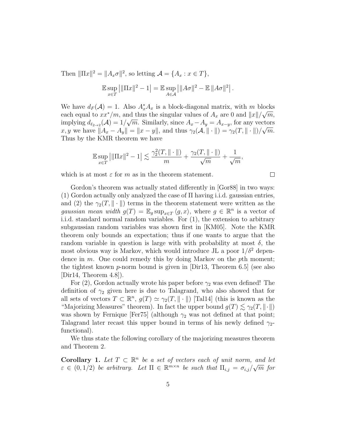Then  $\|\Pi x\|^2 = \|A_x \sigma\|^2$ , so letting  $\mathcal{A} = \{A_x : x \in T\},\$ 

$$
\mathbb{E}\sup_{x\in T} \left|\|\Pi x\|^2 - 1\right| = \mathbb{E}\sup_{A\in\mathcal{A}} \left|\|A\sigma\|^2 - \mathbb{E}\, \|A\sigma\|^2\right|.
$$

We have  $d_F(\mathcal{A}) = 1$ . Also  $A_x^* A_x$  is a block-diagonal matrix, with m blocks each equal to  $xx^*/m$ , and thus the singular values of  $A_x$  are 0 and  $||x||/\sqrt{m}$ , implying  $d_{\ell_{2\to 2}}(\mathcal{A}) = 1/\sqrt{m}$ . Similarly, since  $A_x - A_y = A_{x-y}$ , for any vectors x, y we have  $||A_x - A_y|| = ||x - y||$ , and thus  $\gamma_2(A, || \cdot ||) = \gamma_2(T, || \cdot ||)/\sqrt{m}$ . Thus by the KMR theorem we have

$$
\mathbb{E}\sup_{x\in T} \left|\|\Pi x\|^2 - 1\right| \lesssim \frac{\gamma_2^2(T, \|\cdot\|)}{m} + \frac{\gamma_2(T, \|\cdot\|)}{\sqrt{m}} + \frac{1}{\sqrt{m}},
$$

 $\Box$ 

which is at most  $\varepsilon$  for m as in the theorem statement.

Gordon's theorem was actually stated differently in [Gor88] in two ways: (1) Gordon actually only analyzed the case of Π having i.i.d. gaussian entries, and (2) the  $\gamma_2(T, \|\cdot\|)$  terms in the theorem statement were written as the gaussian mean width  $g(T) = \mathbb{E}_g \sup_{x \in T} \langle g, x \rangle$ , where  $g \in \mathbb{R}^n$  is a vector of i.i.d. standard normal random variables. For (1), the extension to arbitrary subgaussian random variables was shown first in [KM05]. Note the KMR theorem only bounds an expectation; thus if one wants to argue that the random variable in question is large with with probability at most  $\delta$ , the most obvious way is Markov, which would introduce JL a poor  $1/\delta^2$  dependence in  $m$ . One could remedy this by doing Markov on the pth moment; the tightest known p-norm bound is given in  $Dir13$ , Theorem 6.5 (see also  $[Dir14, Theorem 4.8].$ 

For (2), Gordon actually wrote his paper before  $\gamma_2$  was even defined! The definition of  $\gamma_2$  given here is due to Talagrand, who also showed that for all sets of vectors  $T \subset \mathbb{R}^n$ ,  $g(T) \simeq \gamma_2(T, \|\cdot\|)$  [Tal14] (this is known as the "Majorizing Measures" theorem). In fact the upper bound  $g(T) \lesssim \gamma_2(T, \|\cdot\|)$ was shown by Fernique [Fer75] (although  $\gamma_2$  was not defined at that point; Talagrand later recast this upper bound in terms of his newly defined  $\gamma_2$ functional).

We thus state the following corollary of the majorizing measures theorem and Theorem 2.

Corollary 1. Let  $T \subset \mathbb{R}^n$  be a set of vectors each of unit norm, and let  $\varepsilon \in (0,1/2)$  be arbitrary. Let  $\Pi \in \mathbb{R}^{m \times n}$  be such that  $\Pi_{i,j} = \sigma_{i,j}/\sqrt{m}$  for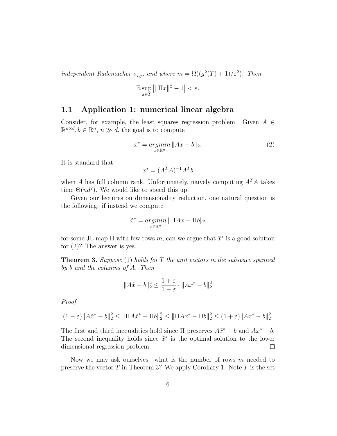independent Rademacher  $\sigma_{i,j}$ , and where  $m = \Omega((g^2(T) + 1)/\varepsilon^2)$ . Then

$$
\mathbb{E}\sup_{x\in T}\left|\|\Pi x\|^2-1\right|<\varepsilon.
$$

#### 1.1 Application 1: numerical linear algebra

Consider, for example, the least squares regression problem. Given  $A \in$  $\mathbb{R}^{n \times d}, b \in \mathbb{R}^n, n \gg d$ , the goal is to compute

$$
x^* = \underset{x \in \mathbb{R}^n}{\operatorname{argmin}} \|Ax - b\|_2. \tag{2}
$$

It is standard that

$$
x^* = (A^T A)^{-1} A^T b
$$

when A has full column rank. Unfortunately, naively computing  $A<sup>T</sup>A$  takes time  $\Theta(nd^2)$ . We would like to speed this up.

Given our lectures on dimensionality reduction, one natural question is the following: if instead we compute

$$
\tilde{x}^* = \underset{x \in \mathbb{R}^n}{argmin} \|\Pi Ax - \Pi b\|_2
$$

for some JL map  $\Pi$  with few rows m, can we argue that  $\tilde{x}^*$  is a good solution for (2)? The answer is yes.

**Theorem 3.** Suppose (1) holds for  $T$  the unit vectors in the subspace spanned by b and the columns of A. Then

$$
||A\tilde{x} - b||_2^2 \le \frac{1+\varepsilon}{1-\varepsilon} \cdot ||Ax^* - b||_2^2
$$

Proof.

$$
(1 - \varepsilon) \|A\tilde{x}^* - b\|_2^2 \le \|\Pi A\tilde{x}^* - \Pi b\|_2^2 \le \|\Pi Ax^* - \Pi b\|_2^2 \le (1 + \varepsilon) \|Ax^* - b\|_2^2.
$$

The first and third inequalities hold since  $\Pi$  preserves  $A\tilde{x}^* - b$  and  $Ax^* - b$ . The second inequality holds since  $\tilde{x}^*$  is the optimal solution to the lower dimensional regression problem.  $\Box$ 

Now we may ask ourselves: what is the number of rows  $m$  needed to preserve the vector  $T$  in Theorem 3? We apply Corollary 1. Note  $T$  is the set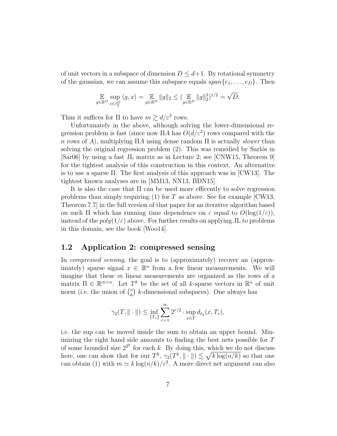of unit vectors in a subspace of dimension  $D \leq d+1$ . By rotational symmetry of the gaussian, we can assume this subspace equals  $span\{e_1, \ldots, e_D\}$ . Then

$$
\mathop{\mathbb{E}}_{g \in \mathbb{R}^D} \sup_{x \in \ell_2^D} \langle g, x \rangle = \mathop{\mathbb{E}}_{g \in \mathbb{R}^D} \|g\|_2 \le (\mathop{\mathbb{E}}_{g \in \mathbb{R}^D} \|g\|_2^2)^{1/2} = \sqrt{D}.
$$

Thus it suffices for  $\Pi$  to have  $m \gtrsim d/\varepsilon^2$  rows.

Unfortunately in the above, although solving the lower-dimensional regression problem is fast (since now  $\Pi A$  has  $O(d/\varepsilon^2)$  rows compared with the n rows of A), multiplying  $\Pi A$  using dense random  $\Pi$  is actually *slower* than solving the original regression problem  $(2)$ . This was remedied by Sarlós in [Sar06] by using a fast JL matrix as in Lecture 2; see [CNW15, Theorem 9] for the tightest analysis of this construction in this context. An alternative is to use a sparse Π. The first analysis of this approach was in [CW13]. The tightest known analyses are in [MM13, NN13, BDN15].

It is also the case that  $\Pi$  can be used more efficently to solve regression problems than simply requiring (1) for T as above. See for example [CW13, Theorem 7.7] in the full version of that paper for an iterative algorithm based on such  $\Pi$  which has running time dependence on  $\varepsilon$  equal to  $O(\log(1/\varepsilon))$ , instead of the  $poly(1/\varepsilon)$  above. For further results on applying JL to problems in this domain, see the book [Woo14].

#### 1.2 Application 2: compressed sensing

In *compressed sensing*, the goal is to (approximately) recover an (approximately) sparse signal  $x \in \mathbb{R}^n$  from a few linear measurements. We will imagine that these  $m$  linear measurements are organized as the rows of a matrix  $\Pi \in \mathbb{R}^{m \times n}$ . Let  $T^k$  be the set of all k-sparse vectors in  $\mathbb{R}^n$  of unit norm (i.e. the union of  $\binom{n}{k}$  $\binom{n}{k}$  *k*-dimensional subspaces). One always has

$$
\gamma_2(T, \|\cdot\|) \le \inf_{\{T_r\}} \sum_{r=1}^{\infty} 2^{r/2} \cdot \sup_{x \in T} d_{\ell_2}(x, T_r),
$$

i.e. the sup can be moved inside the sum to obtain an upper bound. Minimizing the right hand side amounts to finding the best nets possible for T of some bounded size  $2^{2^k}$  for each k. By doing this, which we do not discuss here, one can show that for our  $T^k$ ,  $\gamma_2(T^k, \|\cdot\|) \lesssim \sqrt{k \log(n/k)}$  so that one can obtain (1) with  $m \simeq k \log(n/k)/\varepsilon^2$ . A more direct net argument can also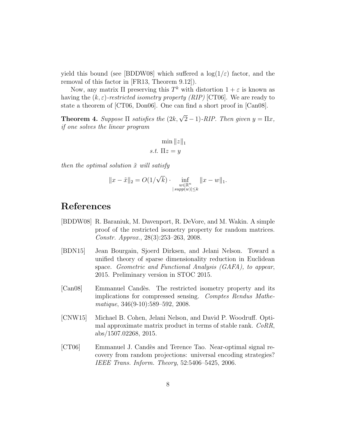yield this bound (see [BDDW08] which suffered a  $log(1/\varepsilon)$  factor, and the removal of this factor in [FR13, Theorem 9.12]).

Now, any matrix  $\Pi$  preserving this  $T^k$  with distortion  $1 + \varepsilon$  is known as having the  $(k, \varepsilon)$ -restricted isometry property *(RIP)* [CT06]. We are ready to state a theorem of [CT06, Don06]. One can find a short proof in [Can08].

**Theorem 4.** Suppose  $\Pi$  satisfies the  $(2k, \sqrt{2}-1)$ -RIP. Then given  $y = \Pi x$ , if one solves the linear program

$$
\min \|z\|_1
$$
  
s.t.  $\Pi z = y$ 

then the optimal solution  $\tilde{x}$  will satisfy

$$
||x - \tilde{x}||_2 = O(1/\sqrt{k}) \cdot \inf_{\substack{w \in \mathbb{R}^n \\ |supp(w)| \le k}} ||x - w||_1.
$$

### References

- [BDDW08] R. Baraniuk, M. Davenport, R. DeVore, and M. Wakin. A simple proof of the restricted isometry property for random matrices. Constr. Approx., 28(3):253–263, 2008.
- [BDN15] Jean Bourgain, Sjoerd Dirksen, and Jelani Nelson. Toward a unified theory of sparse dimensionality reduction in Euclidean space. Geometric and Functional Analysis (GAFA), to appear, 2015. Preliminary version in STOC 2015.
- [Can08] Emmanuel Cand`es. The restricted isometry property and its implications for compressed sensing. Comptes Rendus Mathematique, 346(9-10):589–592, 2008.
- [CNW15] Michael B. Cohen, Jelani Nelson, and David P. Woodruff. Optimal approximate matrix product in terms of stable rank. CoRR, abs/1507.02268, 2015.
- [CT06] Emmanuel J. Cand`es and Terence Tao. Near-optimal signal recovery from random projections: universal encoding strategies? IEEE Trans. Inform. Theory, 52:5406–5425, 2006.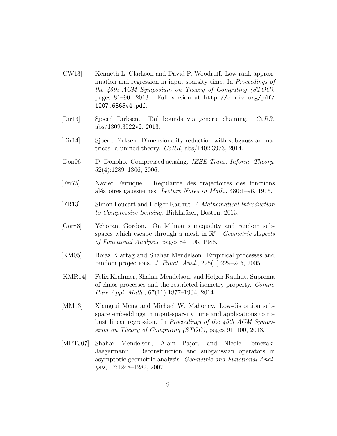- [CW13] Kenneth L. Clarkson and David P. Woodruff. Low rank approximation and regression in input sparsity time. In Proceedings of the 45th ACM Symposium on Theory of Computing (STOC), pages 81–90, 2013. Full version at http://arxiv.org/pdf/ 1207.6365v4.pdf.
- [Dir13] Sjoerd Dirksen. Tail bounds via generic chaining. CoRR, abs/1309.3522v2, 2013.
- [Dir14] Sjoerd Dirksen. Dimensionality reduction with subgaussian matrices: a unified theory.  $CoRR$ ,  $abs/1402.3973$ , 2014.
- [Don06] D. Donoho. Compressed sensing. IEEE Trans. Inform. Theory, 52(4):1289–1306, 2006.
- [Fer75] Xavier Fernique. Regularit´e des trajectoires des fonctions al´eatoires gaussiennes. Lecture Notes in Math., 480:1–96, 1975.
- [FR13] Simon Foucart and Holger Rauhut. A Mathematical Introduction to Compressive Sensing. Birkhaüser, Boston, 2013.
- [Gor88] Yehoram Gordon. On Milman's inequality and random subspaces which escape through a mesh in  $\mathbb{R}^n$ . Geometric Aspects of Functional Analysis, pages 84–106, 1988.
- [KM05] Bo'az Klartag and Shahar Mendelson. Empirical processes and random projections. J. Funct. Anal., 225(1):229–245, 2005.
- [KMR14] Felix Krahmer, Shahar Mendelson, and Holger Rauhut. Suprema of chaos processes and the restricted isometry property. Comm. Pure Appl. Math., 67(11):1877–1904, 2014.
- [MM13] Xiangrui Meng and Michael W. Mahoney. Low-distortion subspace embeddings in input-sparsity time and applications to robust linear regression. In Proceedings of the 45th ACM Symposium on Theory of Computing (STOC), pages 91–100, 2013.
- [MPTJ07] Shahar Mendelson, Alain Pajor, and Nicole Tomczak-Jaegermann. Reconstruction and subgaussian operators in asymptotic geometric analysis. Geometric and Functional Analysis, 17:1248–1282, 2007.